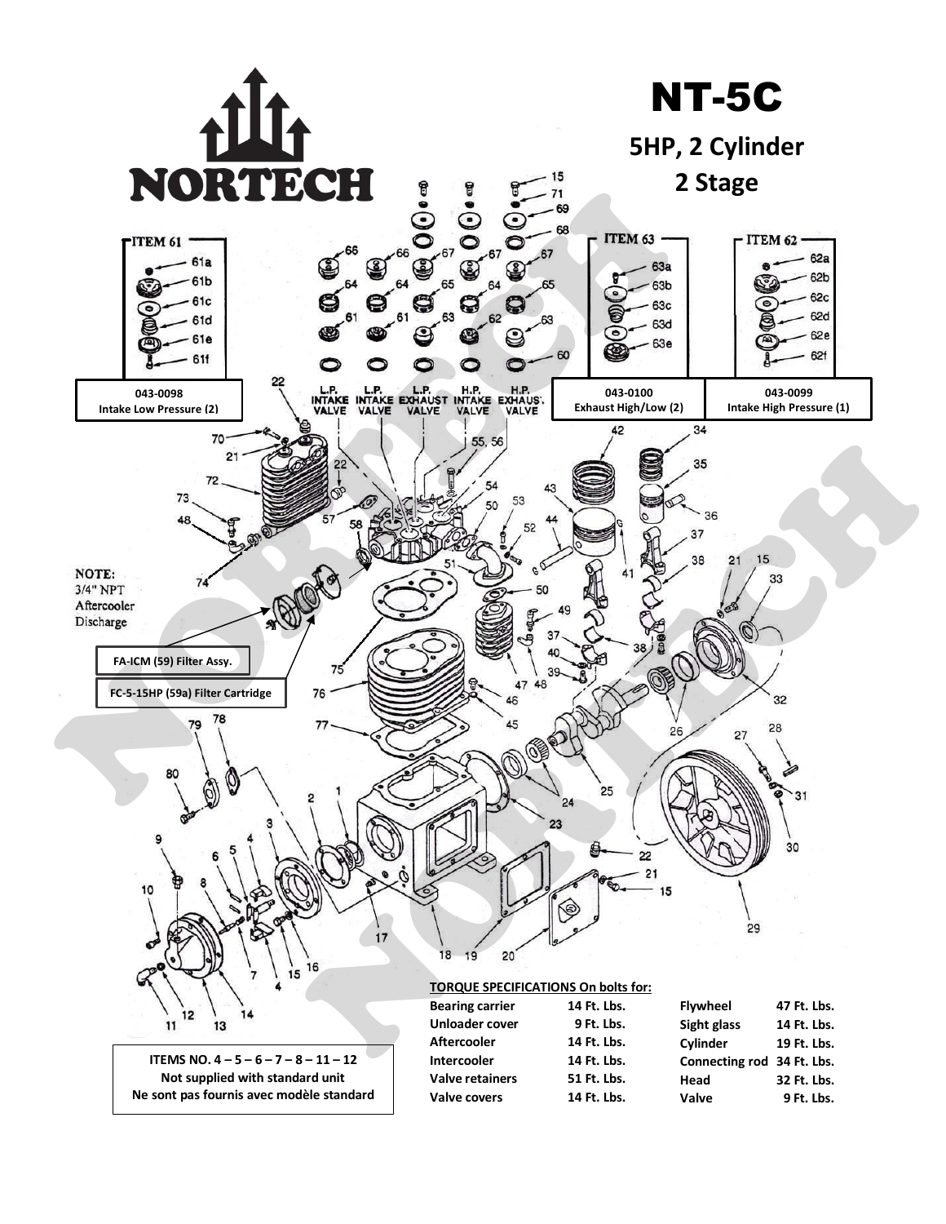